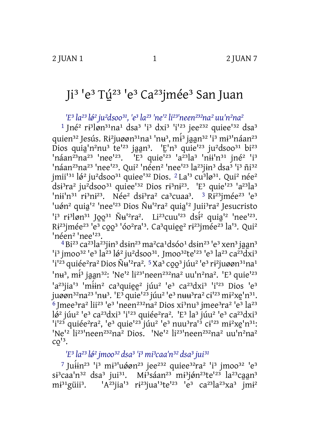## Ji<sup>3</sup> 'e<sup>3</sup> Tú<sup>23</sup> 'e<sup>3</sup> Ca<sup>23</sup>jmée<sup>3</sup> San Juan

'E<sup>3</sup> la<sup>23</sup> lé<sup>2</sup> ju<sup>2</sup>dsoo<sup>31</sup>, 'e<sup>3</sup> la<sup>23</sup> 'ne'<sup>2</sup> li<sup>23</sup>'neen<sup>232</sup>na<sup>2</sup> uu'n<sup>2</sup>na<sup>2</sup>

<sup>1</sup> Jné<sup>2</sup> ri<sup>3</sup>løn<sup>31</sup>na<sup>1</sup> dsa<sup>3</sup> 'i<sup>3</sup> dxi<sup>3</sup> 'i<sup>123</sup> jee<sup>232</sup> quiee<sup>132</sup> dsa<sup>3</sup> quien<sup>32</sup> Jesús. Ri<sup>2</sup>juøøn<sup>31</sup>na<sup>1</sup> 'nu<sup>3</sup>, mi<sup>3</sup> jaan<sup>32</sup> 'i<sup>3</sup> mi<sup>31</sup>náan<sup>23</sup> Dios quia<sup>1</sup>n<sup>2</sup>nu<sup>3</sup> te<sup>123</sup> jaan<sup>3</sup>. <sup>1</sup>E<sup>1</sup>n<sup>3</sup> quie<sup>123</sup> ju<sup>2</sup>dsoo<sup>31</sup> bi<sup>23</sup> "náan<sup>23</sup>na<sup>23</sup> 'nee<sup>'23</sup>. <sup>'E3</sup> quie<sup>'23</sup> 'a<sup>23</sup>la<sup>3</sup> 'nii'n<sup>31</sup> jné<sup>2</sup> 'i<sup>3</sup> 'náan<sup>23</sup>na<sup>23</sup> 'nee<sup>123</sup>. Qui<sup>2</sup> 'néen<sup>2</sup> 'nee<sup>123</sup> la<sup>23</sup>jin<sup>3</sup> dsa<sup>3</sup> 'i<sup>3</sup> ñi<sup>32</sup> jmii<sup>131</sup> lø<sup>2</sup> ju<sup>2</sup>dsoo<sup>31</sup> quiee<sup>132</sup> Dios. <sup>2</sup> La<sup>13</sup> cu<sup>3</sup>lø<sup>31</sup>. Qui<sup>2</sup> née<sup>2</sup> dsi3ra<sup>2</sup> ju<sup>2</sup>dsoo<sup>31</sup> quiee<sup>132</sup> Dios ri3ni<sup>23</sup>. 'E<sup>3</sup> quie<sup>123</sup> 'a<sup>23</sup>la<sup>3</sup> 'nii'n31 ri3ni23. Née<sup>2</sup> dsi<sup>3</sup>ra<sup>2</sup> ca<sup>3</sup>cuaa<sup>3</sup>. <sup>3</sup> Ri<sup>23</sup>jmée<sup>23</sup> 'e<sup>3</sup> 'uén<sup>2</sup> quia<sup>12</sup> 'nee<sup>123</sup> Dios Ñu<sup>12</sup>ra<sup>2</sup> quia<sup>12</sup> Juii<sup>3</sup>ra<sup>2</sup> Jesucristo 'i<sup>3</sup> ri<sup>3</sup>løn<sup>31</sup> Joo<sup>31</sup> Ñu<sup>12</sup>ra<sup>2</sup>. Li<sup>23</sup>cuu<sup>123</sup> dsi<sup>2</sup> quia<sup>12</sup> 'nee<sup>123</sup>. Ri<sup>23</sup>jmée<sup>23</sup> 'e<sup>3</sup> coo<sup>3</sup> 'óo<sup>2</sup>ra<sup>13</sup>. Ca<sup>3</sup>quiee<sup>2</sup> ri<sup>23</sup>jmée<sup>23</sup> la<sup>13</sup>. Qui<sup>2</sup> 'néen<sup>2</sup> 'nee<sup>123</sup>.

<sup>4</sup>Bi<sup>23</sup> ca<sup>23</sup>la<sup>23</sup>jin<sup>3</sup> dsin<sup>23</sup> ma<sup>2</sup>ca<sup>1</sup>dsóo<sup>1</sup> dsin<sup>23</sup> 'e<sup>3</sup> xen<sup>3</sup> jaan<sup>3</sup> 'j3 jmoo<sup>32</sup> 'e<sup>3</sup> la<sup>23</sup> lø<sup>2</sup> ju<sup>2</sup>dsoo<sup>31</sup>. Jmoo<sup>32</sup>te<sup>123</sup> 'e<sup>3</sup> la<sup>23</sup> ca<sup>23</sup>dxi<sup>3</sup> 'i'<sup>23</sup> quiée<sup>2</sup>ra<sup>2</sup> Dios Ñu<sup>12</sup>ra<sup>2</sup>. <sup>5</sup> Xa<sup>3</sup> coo<sup>3</sup> júu<sup>2</sup> 'e<sup>3</sup> ri<sup>2</sup>juøøn<sup>31</sup>na<sup>1</sup> 'nu<sup>3</sup>, mi<sup>3</sup> jaan<sup>32</sup>: 'Ne<sup>12</sup> li<sup>231</sup>neen<sup>232</sup>na<sup>2</sup> uu'n<sup>2</sup>na<sup>2</sup>. 'E<sup>3</sup> quie<sup>123</sup> 'a<sup>23</sup>jia<sup>13</sup> 'miin<sup>2</sup> ca<sup>3</sup>quiee<sup>2</sup> júu<sup>2</sup> 'e<sup>3</sup> ca<sup>23</sup>dxi<sup>3</sup> 'i<sup>123</sup> Dios 'e<sup>3</sup> juøøn<sup>32</sup>na<sup>23</sup> 'nu<sup>3</sup>. 'E<sup>3</sup> quie'<sup>23</sup> júu<sup>2</sup> 'e<sup>3</sup> nuu<sup>3</sup>ra<sup>2</sup> ci<sup>123</sup> mi<sup>2</sup>xe'n<sup>31</sup>. <sup>6</sup> Imee<sup>3</sup>ra<sup>2</sup> lii<sup>23</sup> 'e<sup>3</sup> 'neen<sup>232</sup>na<sup>2</sup> Dios xi<sup>3</sup>nu<sup>3</sup> jmee<sup>3</sup>ra<sup>2</sup> 'e<sup>3</sup> la<sup>23</sup> lø<sup>2</sup> júu<sup>2</sup> 'e<sup>3</sup> ca<sup>23</sup>dxi<sup>3</sup> 'i'<sup>23</sup> quiée<sup>2</sup>ra<sup>2</sup>. 'E<sup>3</sup> la<sup>3</sup> júu<sup>2</sup> 'e<sup>3</sup> ca<sup>23</sup>dxi<sup>3</sup> 'i<sup>123</sup> quiée<sup>2</sup>ra<sup>2</sup>, 'e<sup>3</sup> quie<sup>123</sup> júu<sup>2</sup> 'e<sup>3</sup> nuu<sup>3</sup>ra<sup>13</sup> ci<sup>123</sup> mi<sup>2</sup>xe<sup>1</sup>n<sup>31</sup>: 'Ne<sup>12</sup> li<sup>23</sup>'neen<sup>232</sup>na<sup>2</sup> Dios. 'Ne<sup>12</sup> li<sup>23'</sup>neen<sup>232</sup>na<sup>2</sup> uu<sup>'</sup>n<sup>2</sup>na<sup>2</sup>  $CO<sup>13</sup>$ .

'E<sup>3</sup> la<sup>23</sup> lø<sup>2</sup> jmoo<sup>32</sup> dsa<sup>3</sup> 'i<sup>3</sup> mi<sup>3</sup>caa'n<sup>32</sup> dsa<sup>3</sup> jui<sup>31</sup>

<sup>7</sup> Juiin<sup>23</sup> 'i<sup>3</sup> mi<sup>3</sup>'uáøn<sup>23</sup> jee<sup>232</sup> quiee<sup>32</sup>ra<sup>2</sup> 'i<sup>3</sup> jmoo<sup>32</sup> 'e<sup>3</sup> si<sup>3</sup>caa'n<sup>32</sup> dsa<sup>3</sup> jui<sup>31</sup>. Mi<sup>3</sup>sáan<sup>23</sup> mi<sup>3</sup>jón<sup>23</sup>te<sup>123</sup> la<sup>23</sup>caan<sup>3</sup> 'A<sup>23</sup>jia<sup>13</sup> ri<sup>23</sup>jua<sup>13</sup>te<sup>123</sup> <sup>1</sup>e<sup>3</sup> ca<sup>23</sup>la<sup>23</sup>xa<sup>3</sup> jmi<sup>2</sup> mi<sup>31</sup>güii<sup>3</sup>.

 $\mathbf{1}$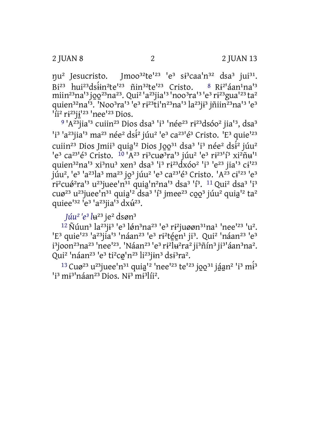nu<sup>2</sup> Jesucristo. Imoo<sup>32</sup>te<sup>123</sup> 'e<sup>3</sup> si<sup>3</sup>caa'n<sup>32</sup> dsa<sup>3</sup> jui<sup>31</sup>. Bi<sup>23</sup> hui<sup>23</sup>dsiin<sup>2</sup>te<sup>123</sup> nin<sup>32</sup>te<sup>123</sup> Cristo.  $8 Ri^{2}$ an<sup>1</sup>na<sup>13</sup> miin<sup>23</sup>na<sup>13</sup>j00<sup>23</sup>na<sup>23</sup>. Qui<sup>2</sup> <sup>1</sup>a<sup>23</sup>jia<sup>13</sup> <sup>1</sup>n00<sup>3</sup>ra<sup>13</sup> <sup>1</sup>e<sup>3</sup> ri<sup>23</sup>gua<sup>123</sup> ta<sup>2</sup> quien<sup>32</sup>na<sup>13</sup>. 'Noo<sup>3</sup>ra<sup>13</sup> 'e<sup>3</sup> ri<sup>23</sup>ti'n<sup>23</sup>na<sup>13</sup> la<sup>23</sup>ji<sup>3</sup> jñiin<sup>23</sup>na<sup>13</sup> 'e<sup>3</sup>  $1$ i<sup>2</sup> ri<sup>23</sup>ji<sup>123</sup> 'nee<sup>123</sup> Dios.

<sup>9</sup> 'A<sup>23</sup>jia<sup>13</sup> cuiin<sup>23</sup> Dios dsa<sup>3</sup> 'i<sup>3</sup> 'née<sup>23</sup> ri<sup>23</sup>dsóo<sup>2</sup> jia<sup>13</sup>, dsa<sup>3</sup> 'i<sup>3</sup> 'a<sup>23</sup>iia<sup>13</sup> ma<sup>23</sup> née<sup>2</sup> ds<sup>22</sup> júu<sup>2</sup> 'e<sup>3</sup> ca<sup>231</sup>é<sup>3</sup> Cristo. 'E<sup>3</sup> quie<sup>123</sup> cuiin<sup>23</sup> Dios Jmii<sup>3</sup> quia<sup>12</sup> Dios Joo<sup>31</sup> dsa<sup>3</sup> 'i<sup>3</sup> née<sup>2</sup> dsi<sup>2</sup> júu<sup>2</sup> le<sup>3</sup> ca<sup>231</sup>é<sup>3</sup> Cristo. <sup>10</sup> 'A<sup>23</sup> ri<sup>3</sup>cuø<sup>3</sup>ra<sup>13</sup> júu<sup>2</sup> le<sup>3</sup> ri<sup>231</sup>j<sup>3</sup> xi<sup>2</sup>ñu<sup>11</sup> quien<sup>32</sup>na<sup>13</sup> xi<sup>3</sup>nu<sup>3</sup> xen<sup>3</sup> dsa<sup>3</sup> <sup>1</sup>i<sup>3</sup> ri<sup>23</sup>dxóo<sup>2</sup> <sup>1</sup>i<sup>3</sup> <sup>1</sup>e<sup>23</sup> jia<sup>13</sup> ci<sup>123</sup> júu<sup>2</sup>, <sup>1</sup>e<sup>3</sup> 'a<sup>23</sup>la<sup>3</sup> ma<sup>23</sup> jo<sup>3</sup> júu<sup>2</sup> 'e<sup>3</sup> ca<sup>23</sup>'é<sup>3</sup> Cristo. 'A<sup>23</sup> ci<sup>123</sup> 'e<sup>3</sup> ri<sup>2</sup>cuó<sup>2</sup>ra<sup>13</sup> u<sup>23</sup>juee<sup>1</sup>n<sup>31</sup> quia<sup>1</sup>n<sup>2</sup>na<sup>13</sup> dsa<sup>3</sup> <sup>1</sup>j<sup>3</sup>. <sup>11</sup> Qui<sup>2</sup> dsa<sup>3</sup> <sup>1</sup>j<sup>3</sup> cuø<sup>23</sup> u<sup>23</sup>juee<sup>'n31</sup> quia<sup>12</sup> dsa<sup>3</sup> 'i<sup>3</sup> jmee<sup>23</sup> coo<sup>3</sup> júu<sup>2</sup> quia<sup>12</sup> ta<sup>2</sup> quiee<sup>132</sup> <sup>1</sup>e<sup>3</sup> 'a<sup>23</sup>jia<sup>13</sup> dx $\acute{u}^{23}$ .

Júu<sup>2</sup> 'e<sup>3</sup> lu<sup>23</sup> je<sup>2</sup> dsøn<sup>3</sup>

<sup>12</sup> Nuun<sup>3</sup> la<sup>23</sup>ji<sup>3</sup> 'e<sup>3</sup> løn<sup>3</sup>na<sup>23</sup> 'e<sup>3</sup> ri<sup>2</sup>juøøn<sup>31</sup>na<sup>1</sup> 'nee<sup>123</sup> 'u<sup>2</sup>. 'E<sup>3</sup> quie<sup>123</sup> 'a<sup>23</sup>jia<sup>13</sup> 'náan<sup>23</sup> 'e<sup>3</sup> ri<sup>2</sup>téen<sup>1</sup> ji<sup>3</sup>. Qui<sup>2</sup> 'náan<sup>23</sup> 'e<sup>3</sup> i<sup>3</sup>joon<sup>23</sup>na<sup>23</sup> 'nee<sup>123</sup>. 'Náan<sup>23</sup> 'e<sup>3</sup> ri<sup>2</sup>lu<sup>2</sup>ra<sup>2</sup> ji<sup>3</sup>ñín<sup>3</sup> ji<sup>31</sup>áan<sup>3</sup>na<sup>2</sup>. Qui<sup>2</sup> 'náan<sup>23</sup> 'e<sup>3</sup> ti<sup>2</sup>cø'n<sup>23</sup> li<sup>23</sup>jin<sup>3</sup> dsi<sup>3</sup>ra<sup>2</sup>.

<sup>13</sup> Cug<sup>23</sup> u<sup>23</sup> juee<sup>1</sup>n<sup>31</sup> quia<sup>12</sup> 'nee<sup>123</sup> te<sup>123</sup> joo<sup>31</sup> jáan<sup>2</sup> <sup>1</sup>j<sup>3</sup> m<sup>2</sup>  $13$  mi<sup>31</sup> náan<sup>23</sup> Dios. Ni<sup>3</sup> mi<sup>3</sup>líi<sup>2</sup>.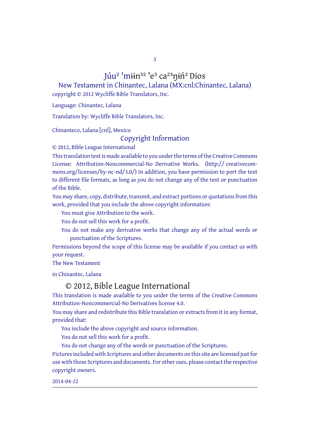3

## Júu<sup>2</sup> 'miin<sup>32</sup> 'e<sup>3</sup> ca<sup>23</sup>nin<sup>2</sup> Dios

New Testament in Chinantec, Lalana (MX:cnl:Chinantec, Lalana) copyright © 2012 Wycliffe Bible Translators, Inc.

Language: Chinantec, Lalana

Translation by: Wycliffe Bible Translators, Inc.

Chinanteco, Lalana [cnl], Mexico

## Copyright Information

© 2012, Bible League International

This translation text is made available to you under the terms of the Creative [Commons](http://creativecommons.org/licenses/by-nc-nd/4.0/) License: Attribution-Noncommercial-No Derivative Works. (http:// creativecommons.org/licenses/by-nc-nd/3.0/) In addition, you have permission to port the text to different file formats, as long as you do not change any of the text or punctuation of the Bible.

You may share, copy, distribute, transmit, and extract portions or quotations from this work, provided that you include the above copyright information:

You must give Attribution to the work.

You do not sell this work for a profit.

You do not make any derivative works that change any of the actual words or punctuation of the Scriptures.

Permissions beyond the scope of this license may be available if you contact us with your request.

The New Testament

in Chinantec, Lalana

## © 2012, Bible League International

This translation is made available to you under the terms of the Creative Commons Attribution-Noncommercial-No Derivatives license 4.0.

You may share and redistribute this Bible translation or extracts from it in any format, provided that:

You include the above copyright and source information.

You do not sell this work for a profit.

You do not change any of the words or punctuation of the Scriptures.

Pictures included with Scriptures and other documents on this site are licensed just for use with those Scriptures and documents. For other uses, please contact the respective copyright owners.

2014-04-22